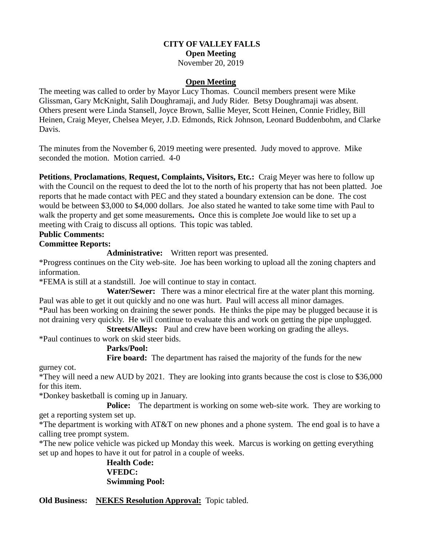### **CITY OF VALLEY FALLS Open Meeting** November 20, 2019

## **Open Meeting**

The meeting was called to order by Mayor Lucy Thomas. Council members present were Mike Glissman, Gary McKnight, Salih Doughramaji, and Judy Rider. Betsy Doughramaji was absent. Others present were Linda Stansell, Joyce Brown, Sallie Meyer, Scott Heinen, Connie Fridley, Bill Heinen, Craig Meyer, Chelsea Meyer, J.D. Edmonds, Rick Johnson, Leonard Buddenbohm, and Clarke Davis.

The minutes from the November 6, 2019 meeting were presented. Judy moved to approve. Mike seconded the motion. Motion carried. 4-0

**Petitions**, **Proclamations**, **Request, Complaints, Visitors, Etc.:** Craig Meyer was here to follow up with the Council on the request to deed the lot to the north of his property that has not been platted. Joe reports that he made contact with PEC and they stated a boundary extension can be done. The cost would be between \$3,000 to \$4,000 dollars. Joe also stated he wanted to take some time with Paul to walk the property and get some measurements**.** Once this is complete Joe would like to set up a meeting with Craig to discuss all options. This topic was tabled.

### **Public Comments:**

## **Committee Reports:**

**Administrative:** Written report was presented.

\*Progress continues on the City web-site. Joe has been working to upload all the zoning chapters and information.

\*FEMA is still at a standstill. Joe will continue to stay in contact.

 **Water/Sewer:** There was a minor electrical fire at the water plant this morning. Paul was able to get it out quickly and no one was hurt. Paul will access all minor damages. \*Paul has been working on draining the sewer ponds. He thinks the pipe may be plugged because it is not draining very quickly. He will continue to evaluate this and work on getting the pipe unplugged.

**Streets/Alleys:** Paul and crew have been working on grading the alleys.

\*Paul continues to work on skid steer bids.

#### **Parks/Pool:**

**Fire board:** The department has raised the majority of the funds for the new

gurney cot.

\*They will need a new AUD by 2021. They are looking into grants because the cost is close to \$36,000 for this item.

\*Donkey basketball is coming up in January.

**Police:** The department is working on some web-site work. They are working to get a reporting system set up.

\*The department is working with AT&T on new phones and a phone system. The end goal is to have a calling tree prompt system.

\*The new police vehicle was picked up Monday this week. Marcus is working on getting everything set up and hopes to have it out for patrol in a couple of weeks.

> **Health Code: VFEDC: Swimming Pool:**

**Old Business: NEKES Resolution Approval:** Topic tabled.